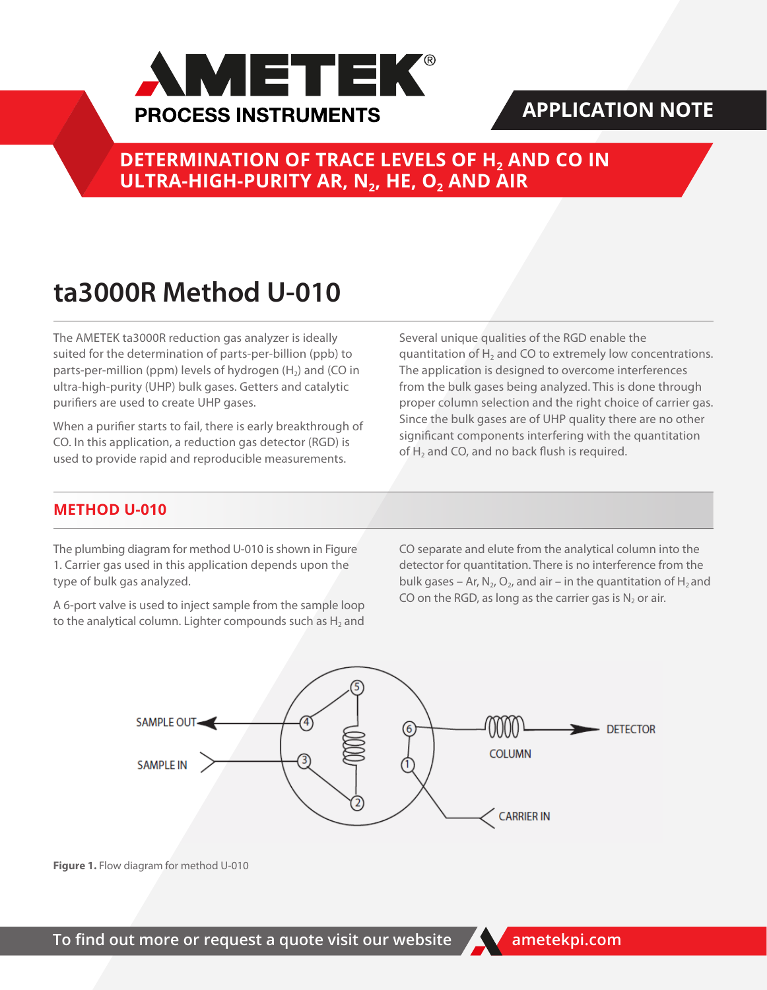

## **APPLICATION NOTE**

**DETERMINATION OF TRACE LEVELS OF H<sub>2</sub> AND CO IN ULTRA-HIGH-PURITY AR, N<sub>2</sub>, HE, O<sub>2</sub> AND AIR** 

# **ta3000R Method U-010**

The AMETEK ta3000R reduction gas analyzer is ideally suited for the determination of parts-per-billion (ppb) to parts-per-million (ppm) levels of hydrogen  $(H<sub>2</sub>)$  and (CO in ultra-high-purity (UHP) bulk gases. Getters and catalytic purifiers are used to create UHP gases.

When a purifier starts to fail, there is early breakthrough of CO. In this application, a reduction gas detector (RGD) is used to provide rapid and reproducible measurements.

Several unique qualities of the RGD enable the quantitation of  $H_2$  and CO to extremely low concentrations. The application is designed to overcome interferences from the bulk gases being analyzed. This is done through proper column selection and the right choice of carrier gas. Since the bulk gases are of UHP quality there are no other significant components interfering with the quantitation of  $H<sub>2</sub>$  and CO, and no back flush is required.

### **METHOD U-010**

The plumbing diagram for method U-010 is shown in Figure 1. Carrier gas used in this application depends upon the type of bulk gas analyzed.

A 6-port valve is used to inject sample from the sample loop to the analytical column. Lighter compounds such as  $H_2$  and CO separate and elute from the analytical column into the detector for quantitation. There is no interference from the bulk gases – Ar, N<sub>2</sub>, O<sub>2</sub>, and air – in the quantitation of H<sub>2</sub> and CO on the RGD, as long as the carrier gas is  $N_2$  or air.



**Figure 1.** Flow diagram for method U-010